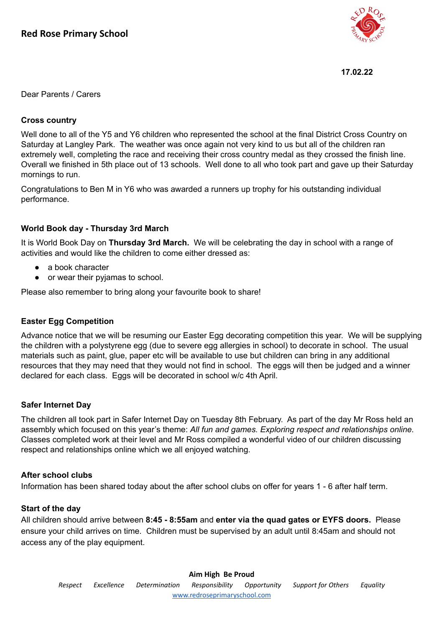

#### **17.02.22**

Dear Parents / Carers

## **Cross country**

Well done to all of the Y5 and Y6 children who represented the school at the final District Cross Country on Saturday at Langley Park. The weather was once again not very kind to us but all of the children ran extremely well, completing the race and receiving their cross country medal as they crossed the finish line. Overall we finished in 5th place out of 13 schools. Well done to all who took part and gave up their Saturday mornings to run.

Congratulations to Ben M in Y6 who was awarded a runners up trophy for his outstanding individual performance.

#### **World Book day - Thursday 3rd March**

It is World Book Day on **Thursday 3rd March.** We will be celebrating the day in school with a range of activities and would like the children to come either dressed as:

- a book character
- or wear their pyjamas to school.

Please also remember to bring along your favourite book to share!

## **Easter Egg Competition**

Advance notice that we will be resuming our Easter Egg decorating competition this year. We will be supplying the children with a polystyrene egg (due to severe egg allergies in school) to decorate in school. The usual materials such as paint, glue, paper etc will be available to use but children can bring in any additional resources that they may need that they would not find in school. The eggs will then be judged and a winner declared for each class. Eggs will be decorated in school w/c 4th April.

#### **Safer Internet Day**

The children all took part in Safer Internet Day on Tuesday 8th February. As part of the day Mr Ross held an assembly which focused on this year's theme: *All fun and games. Exploring respect and relationships online.* Classes completed work at their level and Mr Ross compiled a wonderful video of our children discussing respect and relationships online which we all enjoyed watching.

#### **After school clubs**

Information has been shared today about the after school clubs on offer for years 1 - 6 after half term.

## **Start of the day**

All children should arrive between **8:45 - 8:55am** and **enter via the quad gates or EYFS doors.** Please ensure your child arrives on time. Children must be supervised by an adult until 8:45am and should not access any of the play equipment.